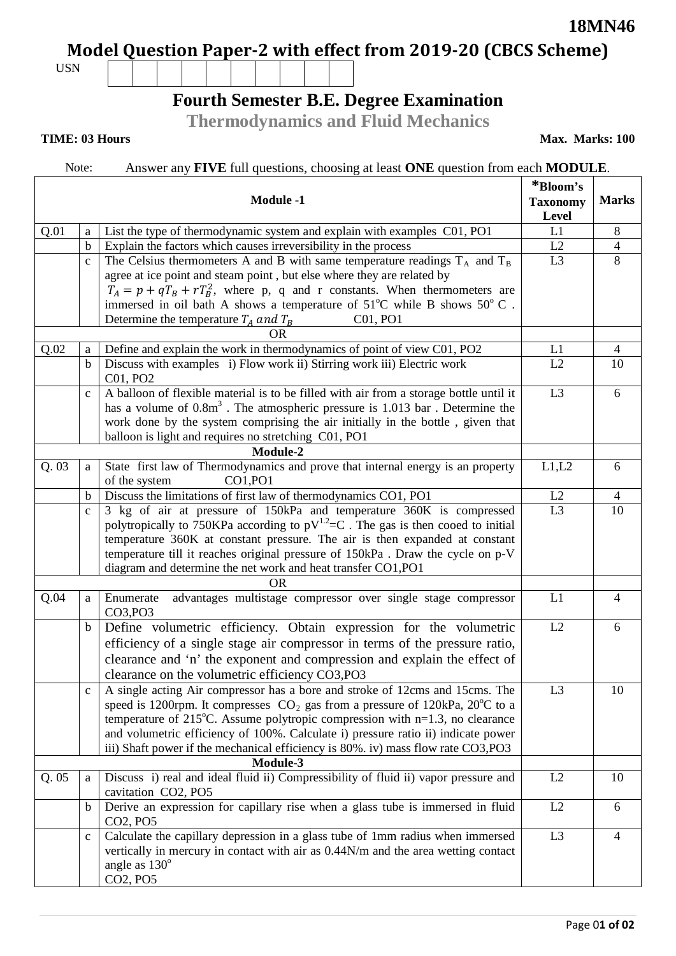**18MN46**

**Model Question Paper-2 with effect from 2019-20 (CBCS Scheme)**

USN

# **Fourth Semester B.E. Degree Examination**

**Thermodynamics and Fluid Mechanics**

### **TIME: 03 Hours**

**Max. Marks: 100**

## Note: Answer any **FIVE** full questions, choosing at least **ONE** question from each **MODULE**.

|      |                  |                                                                                            | *Bloom's       |                |  |  |
|------|------------------|--------------------------------------------------------------------------------------------|----------------|----------------|--|--|
|      | <b>Module -1</b> |                                                                                            |                | <b>Marks</b>   |  |  |
|      |                  |                                                                                            |                |                |  |  |
| Q.01 | a                | List the type of thermodynamic system and explain with examples C01, PO1                   | L1             | 8              |  |  |
|      | $\mathbf b$      | Explain the factors which causes irreversibility in the process                            | L2             | $\overline{4}$ |  |  |
|      | $\mathbf{C}$     | The Celsius thermometers A and B with same temperature readings $T_A$ and $T_B$            | L <sub>3</sub> | 8              |  |  |
|      |                  | agree at ice point and steam point, but else where they are related by                     |                |                |  |  |
|      |                  | $T_A = p + qT_B + rT_B^2$ , where p, q and r constants. When thermometers are              |                |                |  |  |
|      |                  | immersed in oil bath A shows a temperature of $51^{\circ}$ C while B shows $50^{\circ}$ C. |                |                |  |  |
|      |                  | Determine the temperature $T_A$ and $T_B$<br>C01, PO1                                      |                |                |  |  |
|      |                  | OR                                                                                         |                |                |  |  |
| Q.02 | a                | Define and explain the work in thermodynamics of point of view C01, PO2                    | L1             | $\overline{4}$ |  |  |
|      | b                | Discuss with examples i) Flow work ii) Stirring work iii) Electric work                    | L2             | 10             |  |  |
|      |                  | C01, PO2                                                                                   |                |                |  |  |
|      | $\mathbf{C}$     | A balloon of flexible material is to be filled with air from a storage bottle until it     | L <sub>3</sub> | 6              |  |  |
|      |                  | has a volume of $0.8m3$ . The atmospheric pressure is 1.013 bar. Determine the             |                |                |  |  |
|      |                  | work done by the system comprising the air initially in the bottle, given that             |                |                |  |  |
|      |                  | balloon is light and requires no stretching C01, PO1                                       |                |                |  |  |
|      | Module-2         |                                                                                            |                |                |  |  |
| Q.03 | a                | State first law of Thermodynamics and prove that internal energy is an property            | L1,L2          | 6              |  |  |
|      |                  | CO1, PO1<br>of the system                                                                  |                |                |  |  |
|      | b                | Discuss the limitations of first law of thermodynamics CO1, PO1                            | L2             | $\overline{4}$ |  |  |
|      | $\mathbf{C}$     | 3 kg of air at pressure of 150kPa and temperature 360K is compressed                       | L <sub>3</sub> | 10             |  |  |
|      |                  | polytropically to 750KPa according to $pV^{1.2}=C$ . The gas is then cooed to initial      |                |                |  |  |
|      |                  | temperature 360K at constant pressure. The air is then expanded at constant                |                |                |  |  |
|      |                  | temperature till it reaches original pressure of 150kPa. Draw the cycle on p-V             |                |                |  |  |
|      |                  | diagram and determine the net work and heat transfer CO1,PO1                               |                |                |  |  |
|      |                  | OR.                                                                                        |                |                |  |  |
| Q.04 | a                | advantages multistage compressor over single stage compressor<br>Enumerate                 | L1             | $\overline{4}$ |  |  |
|      |                  | CO3, PO3                                                                                   |                |                |  |  |
|      | $\mathbf b$      | Define volumetric efficiency. Obtain expression for the volumetric                         | L2             | 6              |  |  |
|      |                  | efficiency of a single stage air compressor in terms of the pressure ratio,                |                |                |  |  |
|      |                  | clearance and 'n' the exponent and compression and explain the effect of                   |                |                |  |  |
|      |                  | clearance on the volumetric efficiency CO3, PO3                                            |                |                |  |  |
|      |                  | A single acting Air compressor has a bore and stroke of 12cms and 15cms. The               | L <sub>3</sub> | 10             |  |  |
|      |                  | speed is 1200rpm. It compresses $CO_2$ gas from a pressure of 120kPa, 20 $^{\circ}$ C to a |                |                |  |  |
|      |                  | temperature of $215^{\circ}$ C. Assume polytropic compression with n=1.3, no clearance     |                |                |  |  |
|      |                  | and volumetric efficiency of 100%. Calculate i) pressure ratio ii) indicate power          |                |                |  |  |
|      |                  | iii) Shaft power if the mechanical efficiency is 80%. iv) mass flow rate CO3, PO3          |                |                |  |  |
|      |                  | Module-3                                                                                   |                |                |  |  |
| Q.05 | a                | Discuss i) real and ideal fluid ii) Compressibility of fluid ii) vapor pressure and        | L2             | 10             |  |  |
|      |                  | cavitation CO2, PO5                                                                        |                |                |  |  |
|      | $\mathbf b$      | Derive an expression for capillary rise when a glass tube is immersed in fluid             | L2             | 6              |  |  |
|      |                  | CO2, PO5                                                                                   |                |                |  |  |
|      | $\mathbf c$      | Calculate the capillary depression in a glass tube of 1mm radius when immersed             | L <sub>3</sub> | $\overline{4}$ |  |  |
|      |                  | vertically in mercury in contact with air as 0.44N/m and the area wetting contact          |                |                |  |  |
|      |                  | angle as $130^\circ$                                                                       |                |                |  |  |
|      |                  | CO2, PO5                                                                                   |                |                |  |  |
|      |                  |                                                                                            |                |                |  |  |